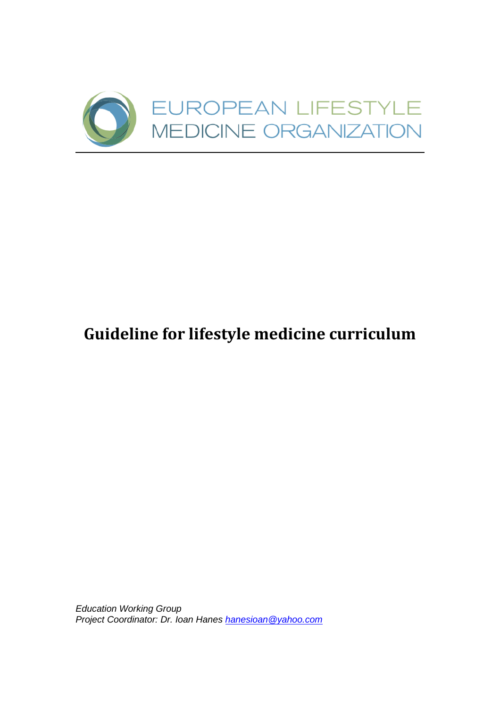

# **Guideline for lifestyle medicine curriculum**

*Education Working Group Project Coordinator: Dr. Ioan Hanes [hanesioan@yahoo.com](mailto:hanesioan@yahoo.com)*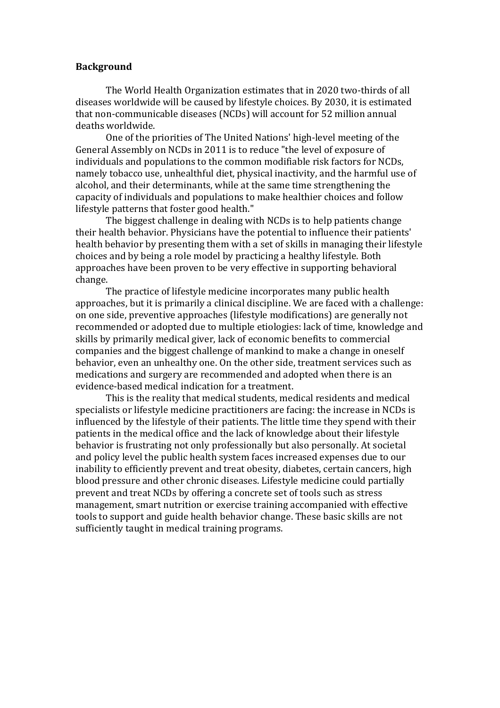#### **Background**

The World Health Organization estimates that in 2020 two-thirds of all diseases worldwide will be caused by lifestyle choices. By 2030, it is estimated that non-communicable diseases (NCDs) will account for 52 million annual deaths worldwide.

One of the priorities of The United Nations' high-level meeting of the General Assembly on NCDs in 2011 is to reduce "the level of exposure of individuals and populations to the common modifiable risk factors for NCDs, namely tobacco use, unhealthful diet, physical inactivity, and the harmful use of alcohol, and their determinants, while at the same time strengthening the capacity of individuals and populations to make healthier choices and follow lifestyle patterns that foster good health."

The biggest challenge in dealing with NCDs is to help patients change their health behavior. Physicians have the potential to influence their patients' health behavior by presenting them with a set of skills in managing their lifestyle choices and by being a role model by practicing a healthy lifestyle. Both approaches have been proven to be very effective in supporting behavioral change.

The practice of lifestyle medicine incorporates many public health approaches, but it is primarily a clinical discipline. We are faced with a challenge: on one side, preventive approaches (lifestyle modifications) are generally not recommended or adopted due to multiple etiologies: lack of time, knowledge and skills by primarily medical giver, lack of economic benefits to commercial companies and the biggest challenge of mankind to make a change in oneself behavior, even an unhealthy one. On the other side, treatment services such as medications and surgery are recommended and adopted when there is an evidence-based medical indication for a treatment.

This is the reality that medical students, medical residents and medical specialists or lifestyle medicine practitioners are facing: the increase in NCDs is influenced by the lifestyle of their patients. The little time they spend with their patients in the medical office and the lack of knowledge about their lifestyle behavior is frustrating not only professionally but also personally. At societal and policy level the public health system faces increased expenses due to our inability to efficiently prevent and treat obesity, diabetes, certain cancers, high blood pressure and other chronic diseases. Lifestyle medicine could partially prevent and treat NCDs by offering a concrete set of tools such as stress management, smart nutrition or exercise training accompanied with effective tools to support and guide health behavior change. These basic skills are not sufficiently taught in medical training programs.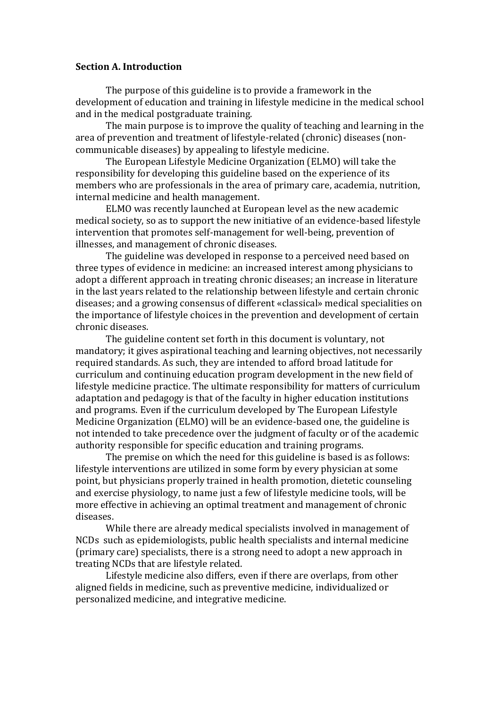#### **Section A. Introduction**

The purpose of this guideline is to provide a framework in the development of education and training in lifestyle medicine in the medical school and in the medical postgraduate training.

The main purpose is to improve the quality of teaching and learning in the area of prevention and treatment of lifestyle-related (chronic) diseases (noncommunicable diseases) by appealing to lifestyle medicine.

The European Lifestyle Medicine Organization (ELMO) will take the responsibility for developing this guideline based on the experience of its members who are professionals in the area of primary care, academia, nutrition, internal medicine and health management.

ELMO was recently launched at European level as the new academic medical society, so as to support the new initiative of an evidence-based lifestyle intervention that promotes self-management for well-being, prevention of illnesses, and management of chronic diseases.

The guideline was developed in response to a perceived need based on three types of evidence in medicine: an increased interest among physicians to adopt a different approach in treating chronic diseases; an increase in literature in the last years related to the relationship between lifestyle and certain chronic diseases; and a growing consensus of different «classical» medical specialities on the importance of lifestyle choices in the prevention and development of certain chronic diseases.

The guideline content set forth in this document is voluntary, not mandatory; it gives aspirational teaching and learning objectives, not necessarily required standards. As such, they are intended to afford broad latitude for curriculum and continuing education program development in the new field of lifestyle medicine practice. The ultimate responsibility for matters of curriculum adaptation and pedagogy is that of the faculty in higher education institutions and programs. Even if the curriculum developed by The European Lifestyle Medicine Organization (ELMO) will be an evidence-based one, the guideline is not intended to take precedence over the judgment of faculty or of the academic authority responsible for specific education and training programs.

The premise on which the need for this guideline is based is as follows: lifestyle interventions are utilized in some form by every physician at some point, but physicians properly trained in health promotion, dietetic counseling and exercise physiology, to name just a few of lifestyle medicine tools, will be more effective in achieving an optimal treatment and management of chronic diseases.

While there are already medical specialists involved in management of NCDs such as epidemiologists, public health specialists and internal medicine (primary care) specialists, there is a strong need to adopt a new approach in treating NCDs that are lifestyle related.

Lifestyle medicine also differs, even if there are overlaps, from other aligned fields in medicine, such as preventive medicine, individualized or personalized medicine, and integrative medicine.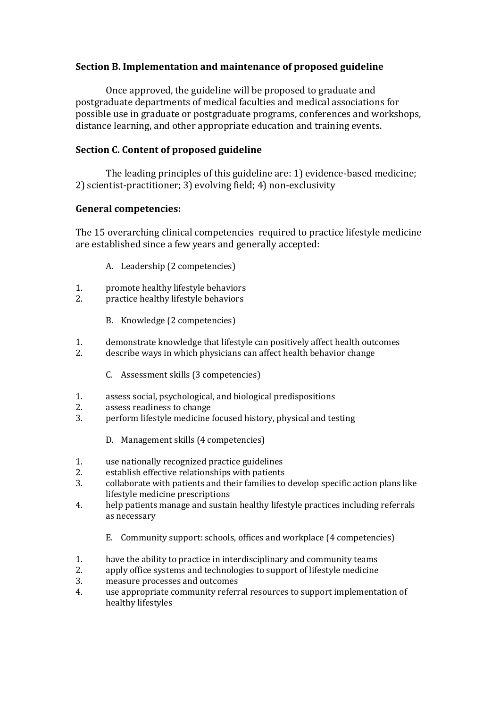#### **Section B. Implementation and maintenance of proposed guideline**

Once approved, the guideline will be proposed to graduate and postgraduate departments of medical faculties and medical associations for possible use in graduate or postgraduate programs, conferences and workshops, distance learning, and other appropriate education and training events.

#### **Section C. Content of proposed guideline**

The leading principles of this guideline are: 1) evidence-based medicine; 2) scientist-practitioner; 3) evolving field; 4) non-exclusivity

## **General competencies:**

The 15 overarching clinical competencies required to practice lifestyle medicine are established since a few years and generally accepted:

- A. Leadership (2 competencies)
- 1. promote healthy lifestyle behaviors<br>2. practice healthy lifestyle behaviors
- practice healthy lifestyle behaviors
	- B. Knowledge (2 competencies)
- 1. demonstrate knowledge that lifestyle can positively affect health outcomes
- 2. describe ways in which physicians can affect health behavior change
	- C. Assessment skills (3 competencies)
- 1. assess social, psychological, and biological predispositions
- 2. assess readiness to change
- 3. perform lifestyle medicine focused history, physical and testing
	- D. Management skills (4 competencies)
- 1. use nationally recognized practice guidelines
- 2. establish effective relationships with patients
- 3. collaborate with patients and their families to develop specific action plans like lifestyle medicine prescriptions
- 4. help patients manage and sustain healthy lifestyle practices including referrals as necessary
	- E. Community support: schools, offices and workplace (4 competencies)
- 1. have the ability to practice in interdisciplinary and community teams
- 2. apply office systems and technologies to support of lifestyle medicine
- 3. measure processes and outcomes
- 4. use appropriate community referral resources to support implementation of healthy lifestyles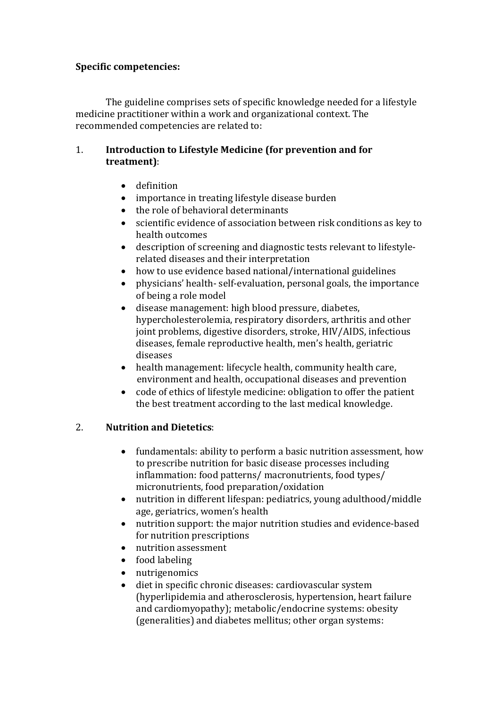#### **Specific competencies:**

The guideline comprises sets of specific knowledge needed for a lifestyle medicine practitioner within a work and organizational context. The recommended competencies are related to:

#### 1. **Introduction to Lifestyle Medicine (for prevention and for treatment)**:

- definition
- importance in treating lifestyle disease burden
- the role of behavioral determinants
- scientific evidence of association between risk conditions as key to health outcomes
- description of screening and diagnostic tests relevant to lifestylerelated diseases and their interpretation
- how to use evidence based national/international guidelines
- physicians' health- self-evaluation, personal goals, the importance of being a role model
- disease management: high blood pressure, diabetes, hypercholesterolemia, respiratory disorders, arthritis and other joint problems, digestive disorders, stroke, HIV/AIDS, infectious diseases, female reproductive health, men's health, geriatric diseases
- health management: lifecycle health, community health care, environment and health, occupational diseases and prevention
- code of ethics of lifestyle medicine: obligation to offer the patient the best treatment according to the last medical knowledge.

#### 2. **Nutrition and Dietetics**:

- fundamentals: ability to perform a basic nutrition assessment, how to prescribe nutrition for basic disease processes including inflammation: food patterns/ macronutrients, food types/ micronutrients, food preparation/oxidation
- nutrition in different lifespan: pediatrics, young adulthood/middle age, geriatrics, women's health
- nutrition support: the major nutrition studies and evidence-based for nutrition prescriptions
- nutrition assessment
- food labeling
- nutrigenomics
- diet in specific chronic diseases: cardiovascular system (hyperlipidemia and atherosclerosis, hypertension, heart failure and cardiomyopathy); metabolic/endocrine systems: obesity (generalities) and diabetes mellitus; other organ systems: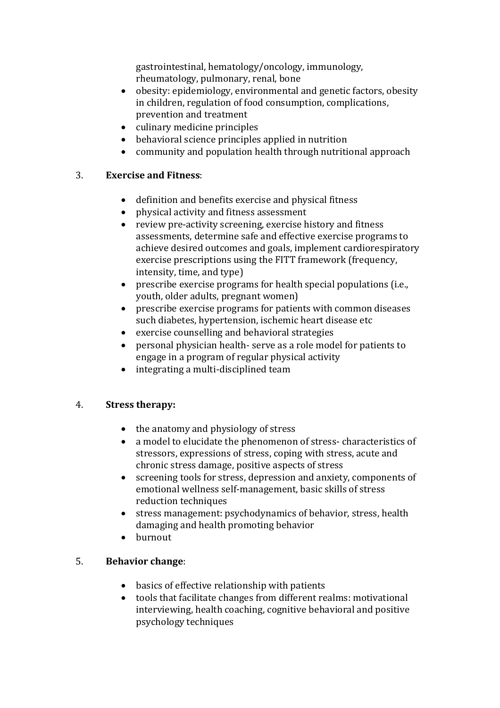gastrointestinal, hematology/oncology, immunology, rheumatology, pulmonary, renal, bone

- obesity: epidemiology, environmental and genetic factors, obesity in children, regulation of food consumption, complications, prevention and treatment
- culinary medicine principles
- behavioral science principles applied in nutrition
- community and population health through nutritional approach

## 3. **Exercise and Fitness**:

- definition and benefits exercise and physical fitness
- physical activity and fitness assessment
- review pre-activity screening, exercise history and fitness assessments, determine safe and effective exercise programs to achieve desired outcomes and goals, implement cardiorespiratory exercise prescriptions using the FITT framework (frequency, intensity, time, and type)
- prescribe exercise programs for health special populations (i.e., youth, older adults, pregnant women)
- prescribe exercise programs for patients with common diseases such diabetes, hypertension, ischemic heart disease etc
- exercise counselling and behavioral strategies
- personal physician health- serve as a role model for patients to engage in a program of regular physical activity
- integrating a multi-disciplined team

# 4. **Stress therapy:**

- the anatomy and physiology of stress
- a model to elucidate the phenomenon of stress- characteristics of stressors, expressions of stress, coping with stress, acute and chronic stress damage, positive aspects of stress
- screening tools for stress, depression and anxiety, components of emotional wellness self-management, basic skills of stress reduction techniques
- stress management: psychodynamics of behavior, stress, health damaging and health promoting behavior
- burnout

# 5. **Behavior change**:

- basics of effective relationship with patients
- tools that facilitate changes from different realms: motivational interviewing, health coaching, cognitive behavioral and positive psychology techniques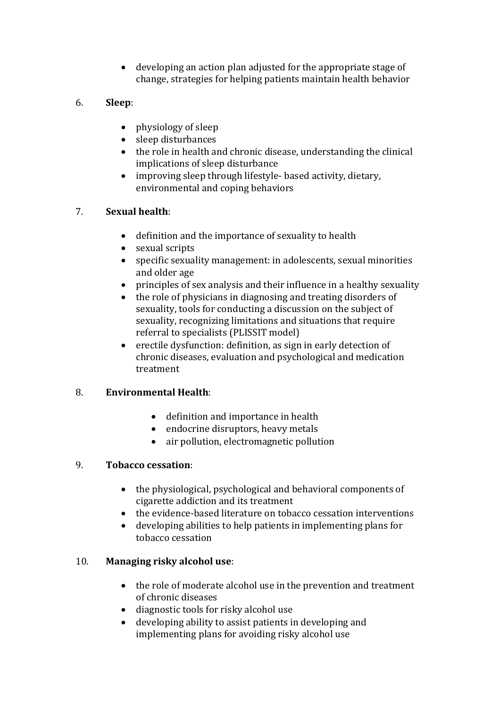developing an action plan adjusted for the appropriate stage of change, strategies for helping patients maintain health behavior

# 6. **Sleep**:

- physiology of sleep
- sleep disturbances
- the role in health and chronic disease, understanding the clinical implications of sleep disturbance
- improving sleep through lifestyle- based activity, dietary, environmental and coping behaviors

# 7. **Sexual health**:

- definition and the importance of sexuality to health
- sexual scripts
- specific sexuality management: in adolescents, sexual minorities and older age
- principles of sex analysis and their influence in a healthy sexuality
- the role of physicians in diagnosing and treating disorders of sexuality, tools for conducting a discussion on the subject of sexuality, recognizing limitations and situations that require referral to specialists (PLISSIT model)
- erectile dysfunction: definition, as sign in early detection of chronic diseases, evaluation and psychological and medication treatment

# 8. **Environmental Health**:

- definition and importance in health
- endocrine disruptors, heavy metals
- air pollution, electromagnetic pollution

# 9. **Tobacco cessation**:

- the physiological, psychological and behavioral components of cigarette addiction and its treatment
- the evidence-based literature on tobacco cessation interventions
- developing abilities to help patients in implementing plans for tobacco cessation

# 10. **Managing risky alcohol use**:

- the role of moderate alcohol use in the prevention and treatment of chronic diseases
- diagnostic tools for risky alcohol use
- developing ability to assist patients in developing and implementing plans for avoiding risky alcohol use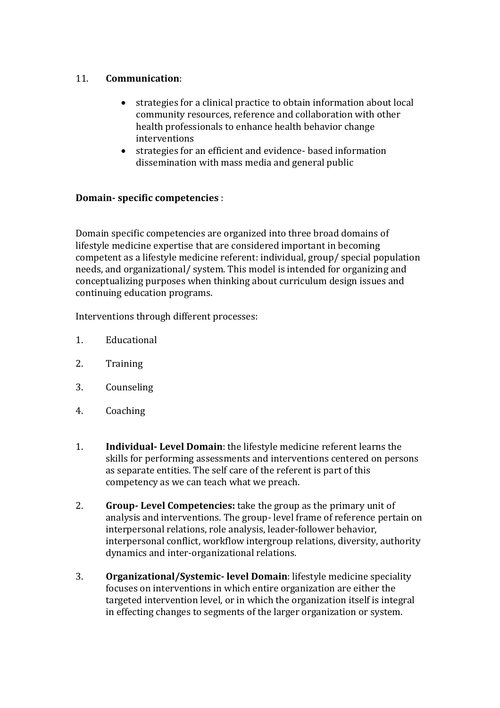## 11. **Communication**:

- strategies for a clinical practice to obtain information about local community resources, reference and collaboration with other health professionals to enhance health behavior change interventions
- strategies for an efficient and evidence- based information dissemination with mass media and general public

# **Domain- specific competencies** :

Domain specific competencies are organized into three broad domains of lifestyle medicine expertise that are considered important in becoming competent as a lifestyle medicine referent: individual, group/ special population needs, and organizational/ system. This model is intended for organizing and conceptualizing purposes when thinking about curriculum design issues and continuing education programs.

Interventions through different processes:

- 1. Educational
- 2. Training
- 3. Counseling
- 4. Coaching
- 1. **Individual- Level Domain**: the lifestyle medicine referent learns the skills for performing assessments and interventions centered on persons as separate entities. The self care of the referent is part of this competency as we can teach what we preach.
- 2. **Group- Level Competencies:** take the group as the primary unit of analysis and interventions. The group- level frame of reference pertain on interpersonal relations, role analysis, leader-follower behavior, interpersonal conflict, workflow intergroup relations, diversity, authority dynamics and inter-organizational relations.
- 3. **Organizational/Systemic- level Domain**: lifestyle medicine speciality focuses on interventions in which entire organization are either the targeted intervention level, or in which the organization itself is integral in effecting changes to segments of the larger organization or system.